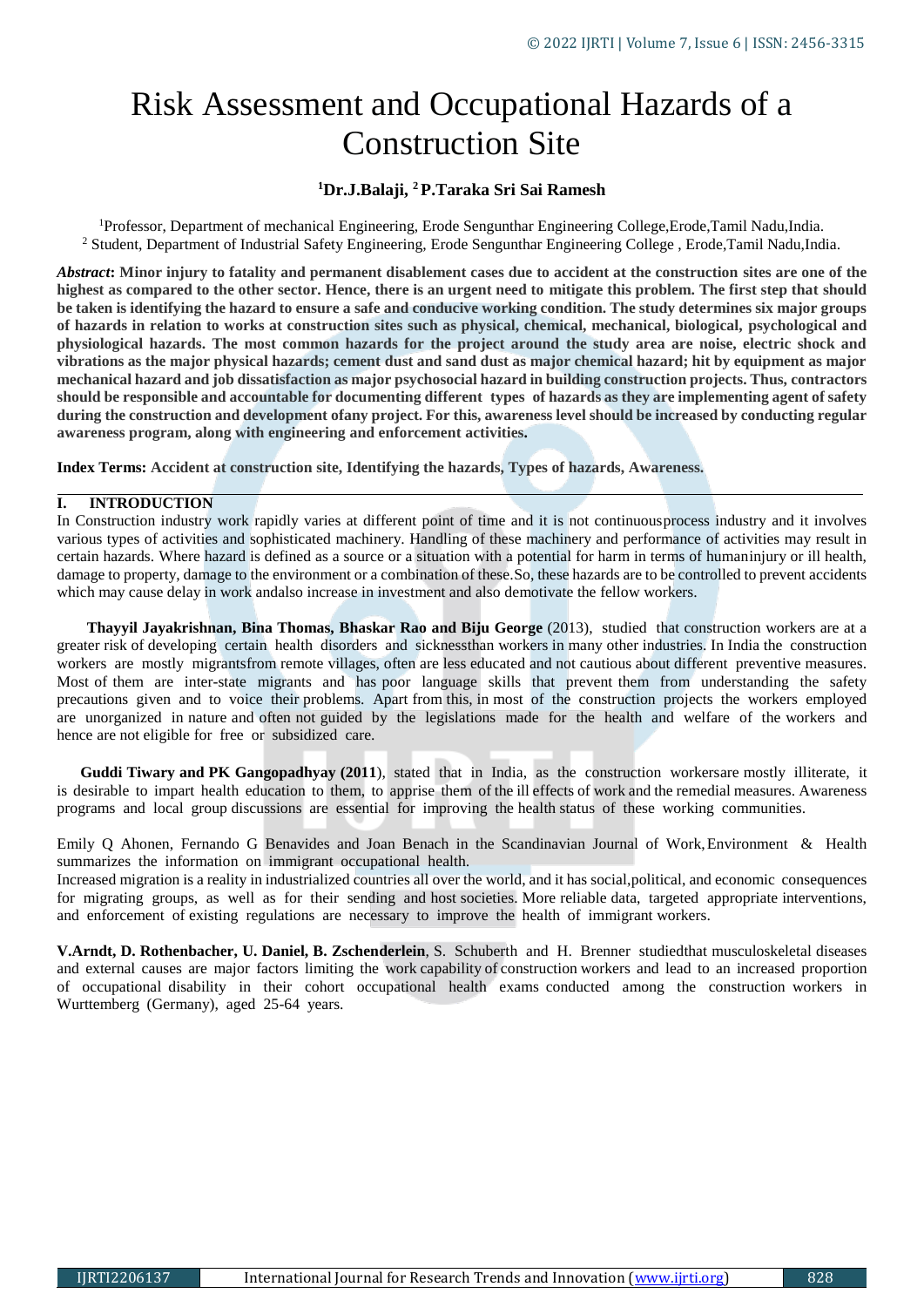# Risk Assessment and Occupational Hazards of a Construction Site

# **<sup>1</sup>Dr.J.Balaji, <sup>2</sup>P.Taraka Sri Sai Ramesh**

<sup>1</sup>Professor, Department of mechanical Engineering, Erode Sengunthar Engineering College,Erode,Tamil Nadu,India. <sup>2</sup> Student, Department of Industrial Safety Engineering, Erode Sengunthar Engineering College , Erode,Tamil Nadu,India.

*Abstract***: Minor injury to fatality and permanent disablement cases due to accident at the construction sites are one of the highest as compared to the other sector. Hence, there is an urgent need to mitigate this problem. The first step that should be taken is identifying the hazard to ensure a safe and conducive working condition. The study determines six major groups of hazards in relation to works at construction sites such as physical, chemical, mechanical, biological, psychological and physiological hazards. The most common hazards for the project around the study area are noise, electric shock and vibrations as the major physical hazards; cement dust and sand dust as major chemical hazard; hit by equipment as major mechanical hazard and job dissatisfaction as major psychosocial hazard in building construction projects. Thus, contractors should be responsible and accountable for documenting different types of hazards as they are implementing agent of safety during the construction and development ofany project. For this, awareness level should be increased by conducting regular awareness program, along with engineering and enforcement activities.**

**Index Terms: Accident at construction site, Identifying the hazards, Types of hazards, Awareness.**

#### **I. INTRODUCTION**

In Construction industry work rapidly varies at different point of time and it is not continuousprocess industry and it involves various types of activities and sophisticated machinery. Handling of these machinery and performance of activities may result in certain hazards. Where hazard is defined as a source or a situation with a potential for harm in terms of humaninjury or ill health, damage to property, damage to the environment or a combination of these.So, these hazards are to be controlled to prevent accidents which may cause delay in work andalso increase in investment and also demotivate the fellow workers.

 **Thayyil Jayakrishnan, Bina Thomas, Bhaskar Rao and Biju George** (2013), studied that construction workers are at a greater risk of developing certain health disorders and sicknessthan workers in many other industries. In India the construction workers are mostly migrantsfrom remote villages, often are less educated and not cautious about different preventive measures. Most of them are inter-state migrants and has poor language skills that prevent them from understanding the safety precautions given and to voice their problems. Apart from this, in most of the construction projects the workers employed are unorganized in nature and often not guided by the legislations made for the health and welfare of the workers and hence are not eligible for free or subsidized care.

 **Guddi Tiwary and PK Gangopadhyay (2011**), stated that in India, as the construction workersare mostly illiterate, it is desirable to impart health education to them, to apprise them of the ill effects of work and the remedial measures. Awareness programs and local group discussions are essential for improving the health status of these working communities.

Emily Q Ahonen, Fernando G Benavides and Joan Benach in the Scandinavian Journal of Work,Environment & Health summarizes the information on immigrant occupational health.

Increased migration is a reality in industrialized countries all over the world, and it has social,political, and economic consequences for migrating groups, as well as for their sending and host societies. More reliable data, targeted appropriate interventions, and enforcement of existing regulations are necessary to improve the health of immigrant workers.

**V.Arndt, D. Rothenbacher, U. Daniel, B. Zschenderlein**, S. Schuberth and H. Brenner studiedthat musculoskeletal diseases and external causes are major factors limiting the work capability of construction workers and lead to an increased proportion of occupational disability in their cohort occupational health exams conducted among the construction workers in Wurttemberg (Germany), aged 25-64 years.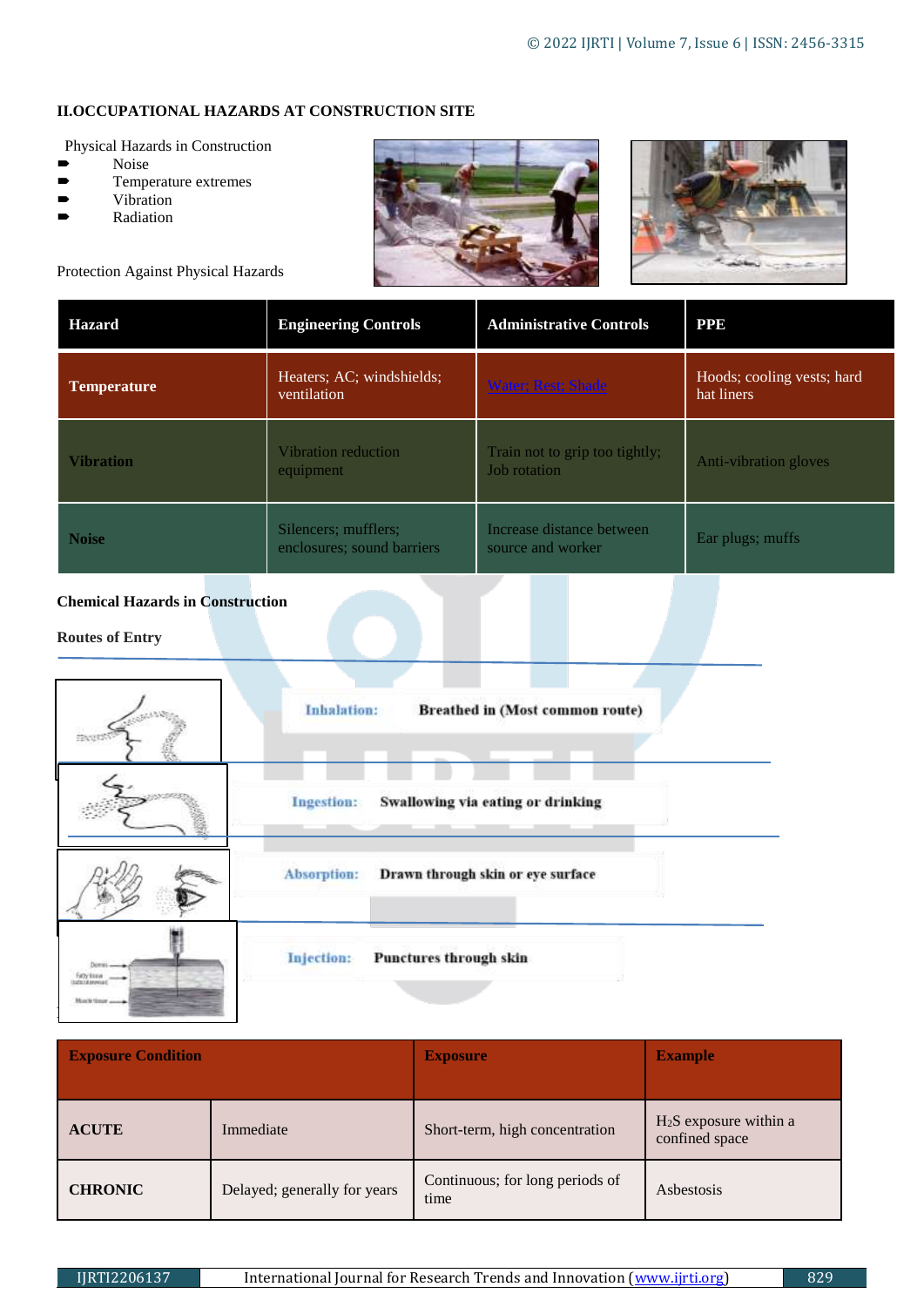# **II.OCCUPATIONAL HAZARDS AT CONSTRUCTION SITE**

Physical Hazards in Construction

- $\begin{array}{cc}\n\bullet & \text{Noise} \\
\bullet & \text{Tempes}\n\end{array}$
- Temperature extremes
- $\rightarrow$  Vibration
- Radiation





Protection Against Physical Hazards

| <b>Hazard</b>      | <b>Engineering Controls</b>                        | <b>Administrative Controls</b>                 | <b>PPE</b>                               |  |
|--------------------|----------------------------------------------------|------------------------------------------------|------------------------------------------|--|
| <b>Temperature</b> | Heaters; AC; windshields;<br>ventilation           | <b>Water: Rest: Shade</b>                      | Hoods; cooling vests; hard<br>hat liners |  |
| <b>Vibration</b>   | <b>Vibration reduction</b><br>equipment            | Train not to grip too tightly;<br>Job rotation | <b>Anti-vibration gloves</b>             |  |
| <b>Noise</b>       | Silencers; mufflers;<br>enclosures; sound barriers | Increase distance between<br>source and worker | Ear plugs; muffs                         |  |

### **Chemical Hazards in Construction**

**Routes of Entry**

|         | Breathed in (Most common route)<br><b>Inhalation:</b> |
|---------|-------------------------------------------------------|
|         | Swallowing via eating or drinking<br>Ingestion:       |
|         | Drawn through skin or eye surface<br>Absorption:      |
| Downey, | <b>Punctures through skin</b><br>Injection:           |

| <b>Exposure Condition</b> |                              | <b>Exposure</b>                         | <b>Example</b>                            |
|---------------------------|------------------------------|-----------------------------------------|-------------------------------------------|
| <b>ACUTE</b>              | Immediate                    | Short-term, high concentration          | $H2S$ exposure within a<br>confined space |
| <b>CHRONIC</b>            | Delayed; generally for years | Continuous; for long periods of<br>time | Asbestosis                                |

**Health Effects**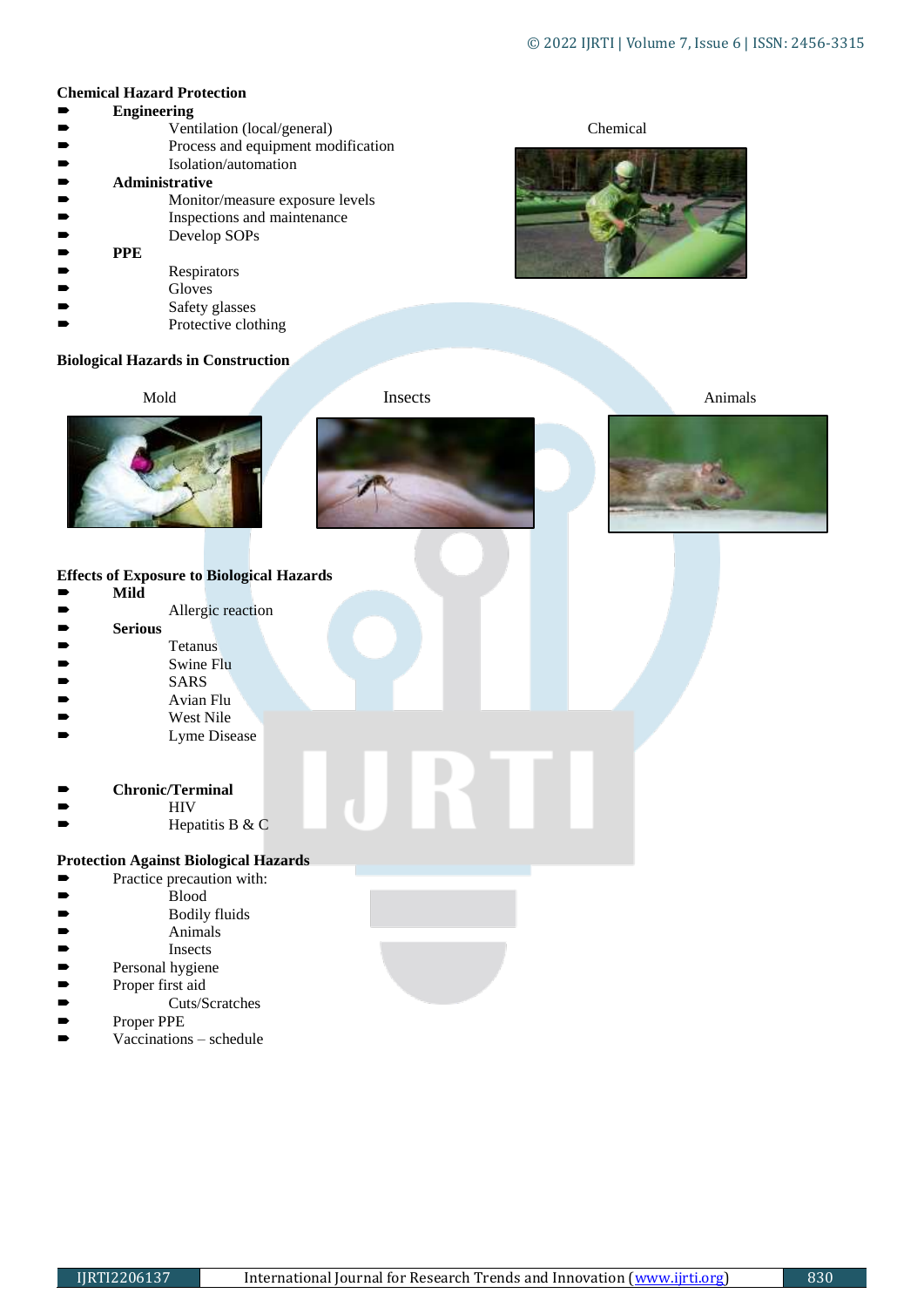| <b>Chemical Hazard Protection</b>  |          |
|------------------------------------|----------|
| <b>Engineering</b>                 |          |
| Ventilation (local/general)        | Chemical |
| Process and equipment modification |          |
| Isolation/automation               |          |
| Administrative                     |          |
| Monitor/measure exposure levels    |          |
| Inspections and maintenance        |          |
| Develop SOPs                       |          |
| <b>PPE</b>                         |          |
| Respirators                        |          |
| Gloves                             |          |
| Safety glasses                     |          |
| Protective clothing                |          |

#### **Biological Hazards in Construction**







#### **Effects of Exposure to Biological Hazards Mild**

| ітна              |
|-------------------|
| Allergic reaction |
| <b>Serious</b>    |
| <b>Tetanus</b>    |
| Swine Flu         |
| <b>SARS</b>       |
| Avian Flu         |
| <b>West Nile</b>  |
| Lyme Disease      |
|                   |

# **Chronic/Terminal**

- HIV
- $\blacksquare$  Hepatitis B & C

# **Protection Against Biological Hazards**

- Practice precaution with:<br>
Blood<br>
Bodily fluids<br>
Animals<br>
Insects<br>
Personal hygiene<br>
Proper first aid<br>
Cuts/Scratches<br>
Proper PPE<br>
Vaccinations schedule
- Blood
- Bodily fluids
- Animals
- Insects
- Personal hygiene
- Proper first aid
- Cuts/Scratches
- Proper PPE
- Vaccinations schedule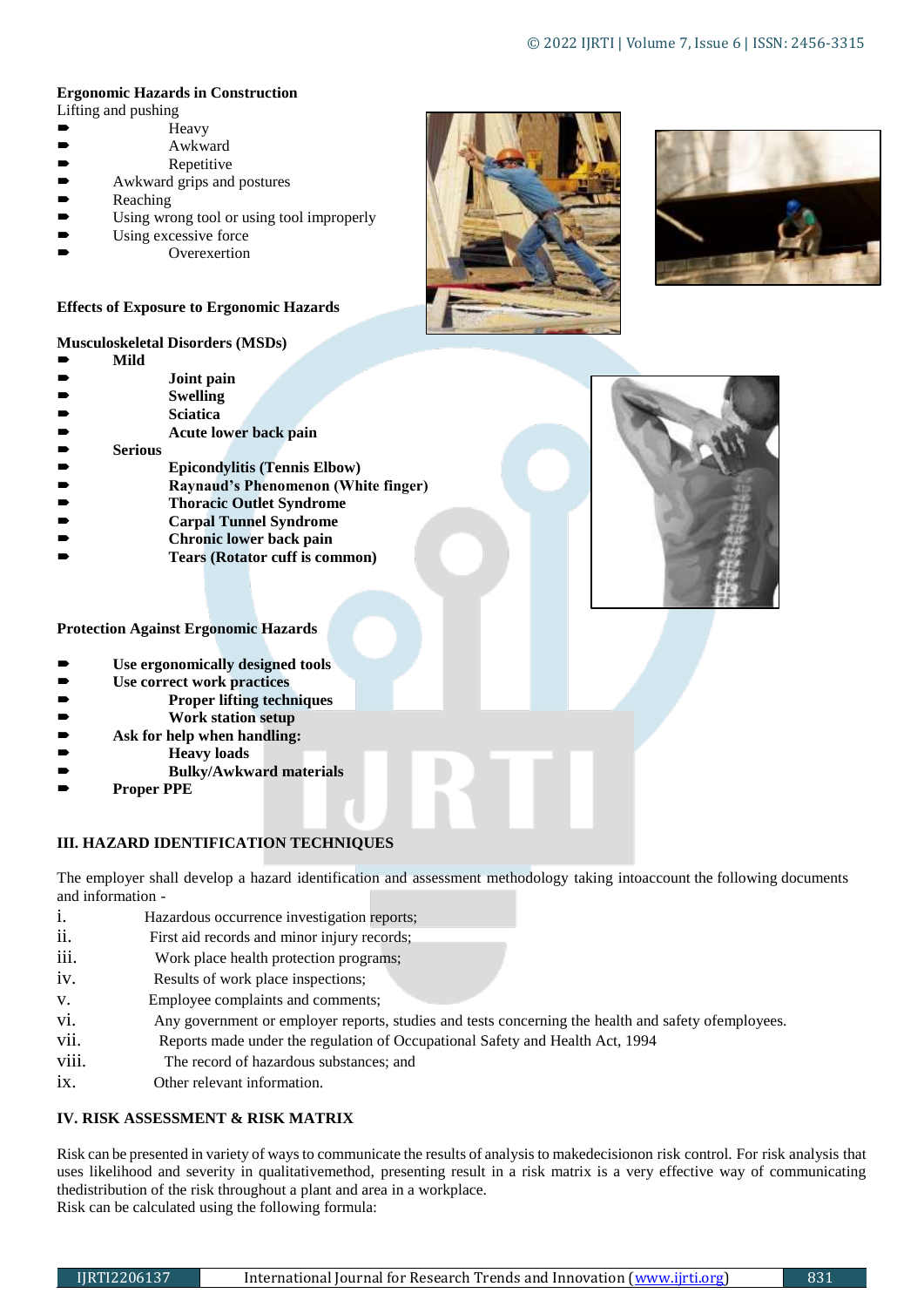# **Ergonomic Hazards in Construction**

Lifting and pushing

- Heavy
- Awkward
- **Repetitive**
- Awkward grips and postures
- Reaching<br>Bullsing wro
- $\bullet$  Using wrong tool or using tool improperly  $\bullet$  Using excessive force
- Using excessive force
- Overexertion

## **Effects of Exposure to Ergonomic Hazards**





### **Musculoskeletal Disorders (MSDs)**

| Mild           |                                            |
|----------------|--------------------------------------------|
|                | Joint pain                                 |
|                | <b>Swelling</b>                            |
|                | <b>Sciatica</b>                            |
|                | <b>Acute lower back pain</b>               |
| <b>Serious</b> |                                            |
|                | <b>Epicondylitis (Tennis Elbow)</b>        |
|                | <b>Raynaud's Phenomenon (White finger)</b> |
|                | <b>Thoracic Outlet Syndrome</b>            |
|                | <b>Carpal Tunnel Syndrome</b>              |
|                | Chronic lower back pain                    |
|                | <b>Tears (Rotator cuff is common)</b>      |
|                |                                            |



**Protection Against Ergonomic Hazards**

|  | Use ergonomically designed tools |  |  |
|--|----------------------------------|--|--|
|--|----------------------------------|--|--|

- **Use correct work practices**
- **Proper lifting techniques**
- **Work station setup**
- **Ask for help when handling:**
- **Heavy loads**
- **Bulky/Awkward materials**
- **Proper PPE**

# **III. HAZARD IDENTIFICATION TECHNIQUES**

The employer shall develop a hazard identification and assessment methodology taking intoaccount the following documents and information -

- i. Hazardous occurrence investigation reports;
- ii. First aid records and minor injury records;
- iii. Work place health protection programs;
- iv. Results of work place inspections;
- v. Employee complaints and comments;
- vi. Any government or employer reports, studies and tests concerning the health and safety ofemployees.
- vii. Reports made under the regulation of Occupational Safety and Health Act, 1994
- viii. The record of hazardous substances; and
- ix. Other relevant information.

# **IV. RISK ASSESSMENT & RISK MATRIX**

Risk can be presented in variety of waysto communicate the results of analysisto makedecisionon risk control. For risk analysis that uses likelihood and severity in qualitativemethod, presenting result in a risk matrix is a very effective way of communicating thedistribution of the risk throughout a plant and area in a workplace. Risk can be calculated using the following formula: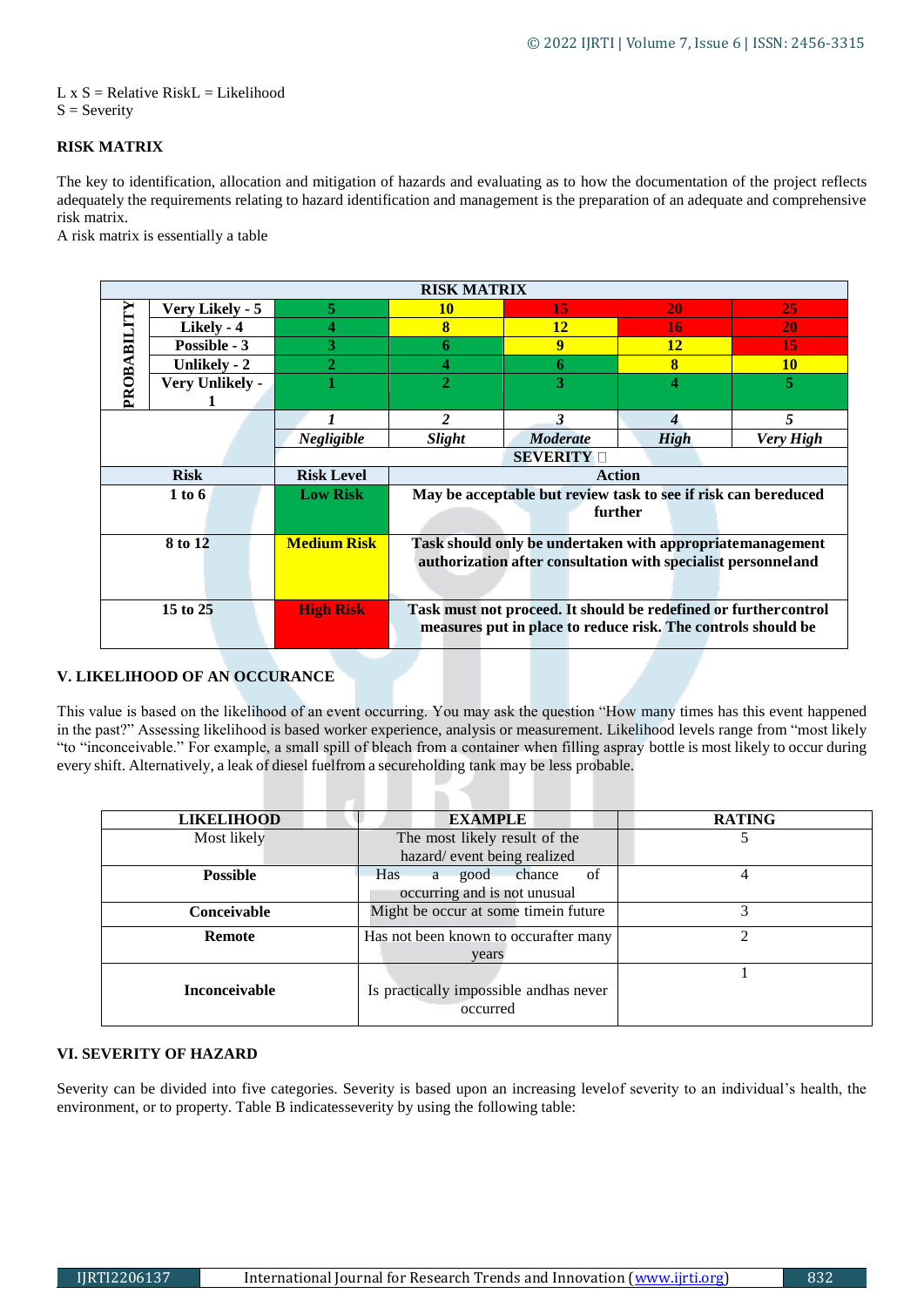#### $L \times S$  = Relative Risk $L$  = Likelihood  $S =$  Severity

#### **RISK MATRIX**

The key to identification, allocation and mitigation of hazards and evaluating as to how the documentation of the project reflects adequately the requirements relating to hazard identification and management is the preparation of an adequate and comprehensive risk matrix.

A risk matrix is essentially a table

| <b>RISK MATRIX</b> |                 |                    |                                                                |                                                                  |             |           |
|--------------------|-----------------|--------------------|----------------------------------------------------------------|------------------------------------------------------------------|-------------|-----------|
|                    | Very Likely - 5 | 5                  | <b>10</b>                                                      | 15                                                               | 20          | 25        |
|                    | Likely - 4      | 4                  | $\bf{8}$                                                       | 12                                                               | 16          | 20        |
|                    | Possible - 3    | 3                  | 6                                                              | 9                                                                | <b>12</b>   | 15        |
| PROBABILITY        | Unlikely - 2    | 2                  | 4                                                              | 6                                                                | 8           | <b>10</b> |
|                    | Very Unlikely - |                    | $\overline{2}$                                                 | 3                                                                | 4           | 5         |
|                    | 1               |                    |                                                                |                                                                  |             |           |
|                    |                 |                    | 2                                                              | 3                                                                | 4           | 5         |
|                    |                 | Negligible         | <b>Slight</b>                                                  | <b>Moderate</b>                                                  | <b>High</b> | Very High |
|                    |                 |                    | <b>SEVERITY</b> L                                              |                                                                  |             |           |
|                    | <b>Risk</b>     | <b>Risk Level</b>  |                                                                | <b>Action</b>                                                    |             |           |
|                    | 1 to 6          | <b>Low Risk</b>    | May be acceptable but review task to see if risk can bereduced |                                                                  |             |           |
|                    |                 |                    | further                                                        |                                                                  |             |           |
|                    |                 |                    |                                                                |                                                                  |             |           |
|                    | 8 to 12         | <b>Medium Risk</b> |                                                                | Task should only be undertaken with appropriatemanagement        |             |           |
|                    |                 |                    |                                                                | authorization after consultation with specialist personnel and   |             |           |
|                    |                 |                    |                                                                |                                                                  |             |           |
|                    | 15 to 25        | <b>High Risk</b>   |                                                                | Task must not proceed. It should be redefined or further control |             |           |
|                    |                 |                    | measures put in place to reduce risk. The controls should be   |                                                                  |             |           |
|                    |                 |                    |                                                                |                                                                  |             |           |

# **V. LIKELIHOOD OF AN OCCURANCE**

This value is based on the likelihood of an event occurring. You may ask the question "How many times has this event happened in the past?" Assessing likelihood is based worker experience, analysis or measurement. Likelihood levels range from "most likely "to "inconceivable." For example, a small spill of bleach from a container when filling aspray bottle is most likely to occur during every shift. Alternatively, a leak of diesel fuelfrom a secureholding tank may be less probable.

| <b>LIKELIHOOD</b>    | <b>EXAMPLE</b>                                      | <b>RATING</b> |
|----------------------|-----------------------------------------------------|---------------|
| Most likely          | The most likely result of the                       |               |
|                      | hazard/event being realized                         |               |
| <b>Possible</b>      | Has<br>- of<br>chance<br>good<br>a                  |               |
|                      | occurring and is not unusual                        |               |
| <b>Conceivable</b>   | Might be occur at some time in future               | 3             |
| <b>Remote</b>        | Has not been known to occurafter many               |               |
|                      | years                                               |               |
| <b>Inconceivable</b> | Is practically impossible and has never<br>occurred |               |

#### **VI. SEVERITY OF HAZARD**

Severity can be divided into five categories. Severity is based upon an increasing levelof severity to an individual's health, the environment, or to property. Table B indicatesseverity by using the following table: